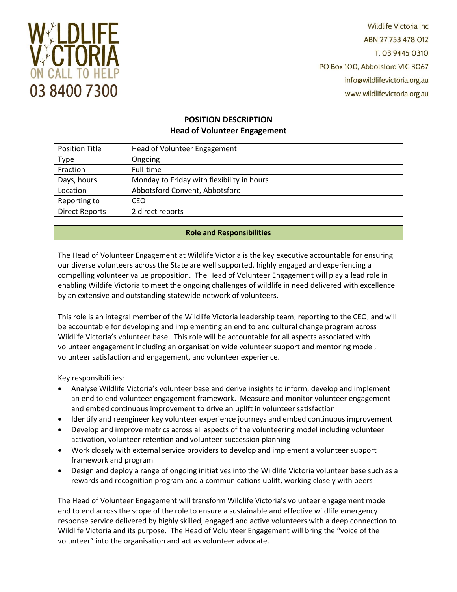

**Wildlife Victoria Inc.** ABN 27 753 478 012 T. 03 9445 0310 PO Box 100, Abbotsford VIC 3067 info@wildlifevictoria.org.au www.wildlifevictoria.org.au

# **POSITION DESCRIPTION Head of Volunteer Engagement**

| <b>Position Title</b> | Head of Volunteer Engagement               |
|-----------------------|--------------------------------------------|
| <b>Type</b>           | Ongoing                                    |
| Fraction              | Full-time                                  |
| Days, hours           | Monday to Friday with flexibility in hours |
| Location              | Abbotsford Convent, Abbotsford             |
| Reporting to          | CEO                                        |
| <b>Direct Reports</b> | 2 direct reports                           |

# **Role and Responsibilities**

The Head of Volunteer Engagement at Wildlife Victoria is the key executive accountable for ensuring our diverse volunteers across the State are well supported, highly engaged and experiencing a compelling volunteer value proposition. The Head of Volunteer Engagement will play a lead role in enabling Wildife Victoria to meet the ongoing challenges of wildlife in need delivered with excellence by an extensive and outstanding statewide network of volunteers.

This role is an integral member of the Wildlife Victoria leadership team, reporting to the CEO, and will be accountable for developing and implementing an end to end cultural change program across Wildlife Victoria's volunteer base. This role will be accountable for all aspects associated with volunteer engagement including an organisation wide volunteer support and mentoring model, volunteer satisfaction and engagement, and volunteer experience.

Key responsibilities:

- Analyse Wildlife Victoria's volunteer base and derive insights to inform, develop and implement an end to end volunteer engagement framework. Measure and monitor volunteer engagement and embed continuous improvement to drive an uplift in volunteer satisfaction
- Identify and reengineer key volunteer experience journeys and embed continuous improvement
- Develop and improve metrics across all aspects of the volunteering model including volunteer activation, volunteer retention and volunteer succession planning
- Work closely with external service providers to develop and implement a volunteer support framework and program
- Design and deploy a range of ongoing initiatives into the Wildlife Victoria volunteer base such as a rewards and recognition program and a communications uplift, working closely with peers

The Head of Volunteer Engagement will transform Wildlife Victoria's volunteer engagement model end to end across the scope of the role to ensure a sustainable and effective wildlife emergency response service delivered by highly skilled, engaged and active volunteers with a deep connection to Wildlife Victoria and its purpose. The Head of Volunteer Engagement will bring the "voice of the volunteer" into the organisation and act as volunteer advocate.